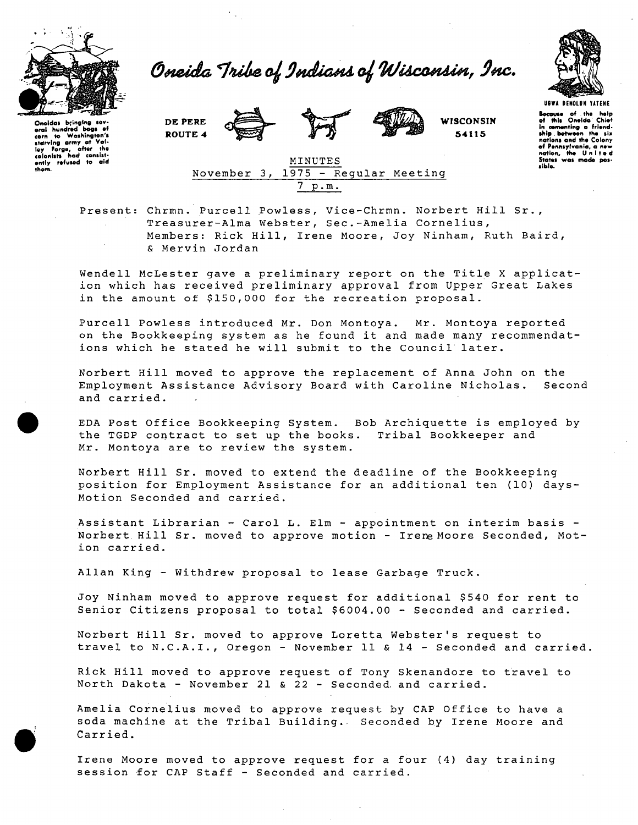

*Owedda Ondki^U WUcxmMn, 9etc.* 



Onsidas bringing sev-<br>oral hundred bogs of<br>starrving army at Vol-<br>isy Forge, ofter the<br>colonists had consist-<br>colonists had consist-<br>only refused to old<br>them.

**DE PERE ROUTE 4** 





**WISCONSIN 5411 5** 

**ubwa deholuh matene** Because of the help<br>of this OneIda Chief of this Oneida Chief<br>
in comonting a friend-<br>
ship .between the six<br>
notions and the Colony<br>
of Pennsylvania, a new<br>
nation, the United states was mode possible.



Present: Chrmn. Purcell Powless, Vice-Chrmn. Norbert Hill Sr., Treasurer-Alma Webster, Sec.-Amelia Cornelius, Members: Rick Hill, Irene Moore, Joy Ninham, Ruth Baird, & Mervin Jordan

Wendell McLester gave a preliminary report on the Title X application which has received preliminary approval from Upper Great Lakes in the amount of \$150,000 for the recreation proposal.

Purcell Powless introduced Mr. Don Montoya. Mr. Montoya reported on the Bookkeeping system as he found it and made many recommendations which he stated he will submit to the Council later.

Norbert Hill moved to approve the replacement of Anna John on the Employment Assistance Advisory Board with Caroline Nicholas. Second and carried.

EDA Post Office Bookkeeping System. Bob Archiquette is employed by the TGDP contract to set up the books. Tribal Bookkeeper and Mr. Montoya are to review the system.

Norbert Hill Sr. moved to extend the deadline of the Bookkeeping position for Employment Assistance for an additional ten (10) days-Motion Seconded and carried.

Assistant Librarian - Carol L. Elm - appointment on interim basis - Norbert Hill Sr. moved to approve motion - Irene Moore Seconded, Motion carried.

Allan King - Withdrew proposal to lease Garbage Truck.

Joy Ninham moved to approve request for additional \$540 for rent to Senior Citizens proposal to total \$6004.00 - Seconded and carried.

Norbert Hill Sr. moved to approve Loretta Webster's request to travel to N.C.A.I., Oregon - November 11 & 14 - Seconded and carried.

Rick Hill moved to approve request of Tony Skenandore to travel to North Dakota - November 21 & 22 - Seconded, and carried.

Amelia Cornelius moved to approve request by CAP Office to have a soda machine at the Tribal Building. Seconded by Irene Moore and Carried.

Irene Moore moved to approve request for a four (4) day training session for CAP Staff - Seconded and carried.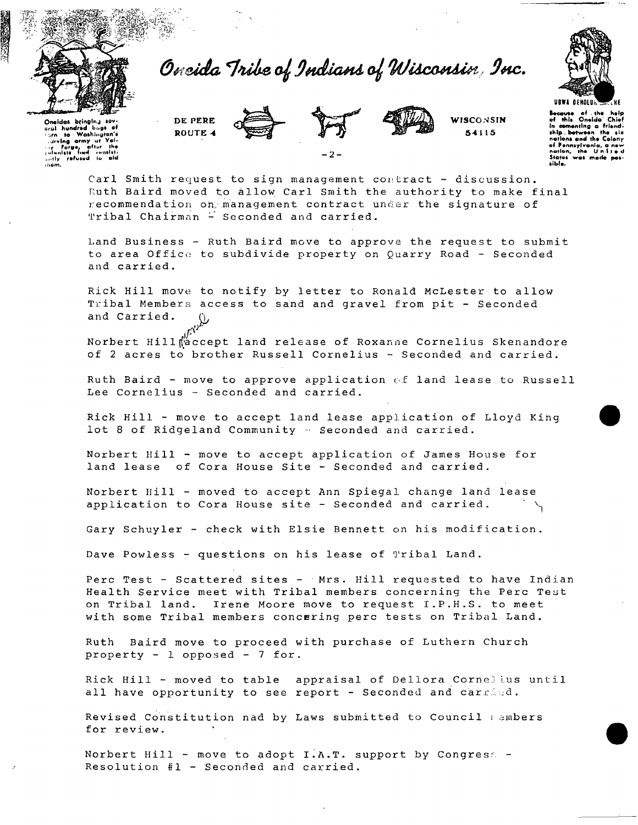

*Oneida 9Midland A^ WUCOHAI^I 9HC.* 



Oneidas bringing sov.<br>aral hundred buas of or to Washington's<br>*• urving army ut Val-*<br>*• urving army ut Val-*<br>• Forgo. offer the<br>• unly refused to ald<br>• unly refused to ald<br>• ison. **DE PERE ROUTE 4** 



**WISCONSIN 5411 5** 

**UBWi OfHOLUi.**  <del>Because</del> of the help<br>of this Oneida Chief In comonting a friend-<br>ship botwoon the six nations and the Colony of Pennsylvania, a new<br>notion, the United Status was made >ibl«.

Carl Smith request to sign management contract - discussion. Ruth Baird moved to allow Carl Smith the authority to make final recommendation on. management contract under the signature of Tribal Chairman - Seconded and carried.

*- 2 -*

Land Business - Ruth Baird move to approve the request to submit to area Office to subdivide property on Quarry Road - Seconded and carried.

Rick Hill move to notify by letter to Ronald McLester to allow Tribal Members access to sand and gravel from pit - Seconded and Carried.

Norbert Hill Waccept land release of Roxanne Cornelius Skenandore of 2 acres to brother Russell Cornelius - Seconded and carried.

Ruth Baird - move to approve application of land lease to Russell Lee Cornelius - Seconded and carried.

Rick Hill - move to accept land lease application of Lloyd King lot 8 of Ridgeland Community - Seconded and carried.

Norbert Hill - move to accept application of James House for land lease of Cora House Site - Seconded and carried.

Norbert Hill - moved to accept Ann Spiegal change land lease application to Cora House site - Seconded and carried.

Gary Schuyler - check with Elsie Bennett on his modification.

Dave Powless - questions on his lease of Tribal Land.

Perc Test - Scattered sites - Mrs. Hill requested to have Indian Health Service meet with Tribal members concerning the Perc Test on Tribal land. Irene Moore move to request I.P.H.S. to meet with some Tribal members concering perc tests on Tribal Land.

Ruth Baird move to proceed with purchase of Luthern Church property - 1 opposed - 7 for.

Rick Hill - moved to table appraisal of Dellora Cornelius until all have opportunity to see report - Seconded and carried.

Revised Constitution nad by Laws submitted to Council members for review.

Norbert Hill - move to adopt  $I.A.T.$  support by Congress -Resolution #1 - Seconded and carried.